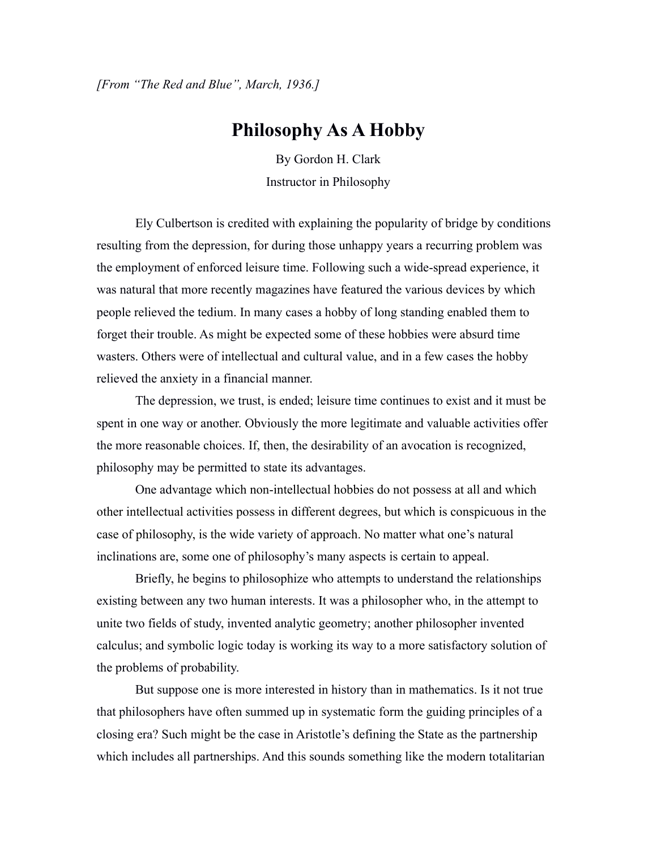*[From "The Red and Blue", March, 1936.]*

## **Philosophy As A Hobby**

By Gordon H. Clark Instructor in Philosophy

Ely Culbertson is credited with explaining the popularity of bridge by conditions resulting from the depression, for during those unhappy years a recurring problem was the employment of enforced leisure time. Following such a wide-spread experience, it was natural that more recently magazines have featured the various devices by which people relieved the tedium. In many cases a hobby of long standing enabled them to forget their trouble. As might be expected some of these hobbies were absurd time wasters. Others were of intellectual and cultural value, and in a few cases the hobby relieved the anxiety in a financial manner.

The depression, we trust, is ended; leisure time continues to exist and it must be spent in one way or another. Obviously the more legitimate and valuable activities offer the more reasonable choices. If, then, the desirability of an avocation is recognized, philosophy may be permitted to state its advantages.

One advantage which non-intellectual hobbies do not possess at all and which other intellectual activities possess in different degrees, but which is conspicuous in the case of philosophy, is the wide variety of approach. No matter what one's natural inclinations are, some one of philosophy's many aspects is certain to appeal.

Briefly, he begins to philosophize who attempts to understand the relationships existing between any two human interests. It was a philosopher who, in the attempt to unite two fields of study, invented analytic geometry; another philosopher invented calculus; and symbolic logic today is working its way to a more satisfactory solution of the problems of probability.

But suppose one is more interested in history than in mathematics. Is it not true that philosophers have often summed up in systematic form the guiding principles of a closing era? Such might be the case in Aristotle's defining the State as the partnership which includes all partnerships. And this sounds something like the modern totalitarian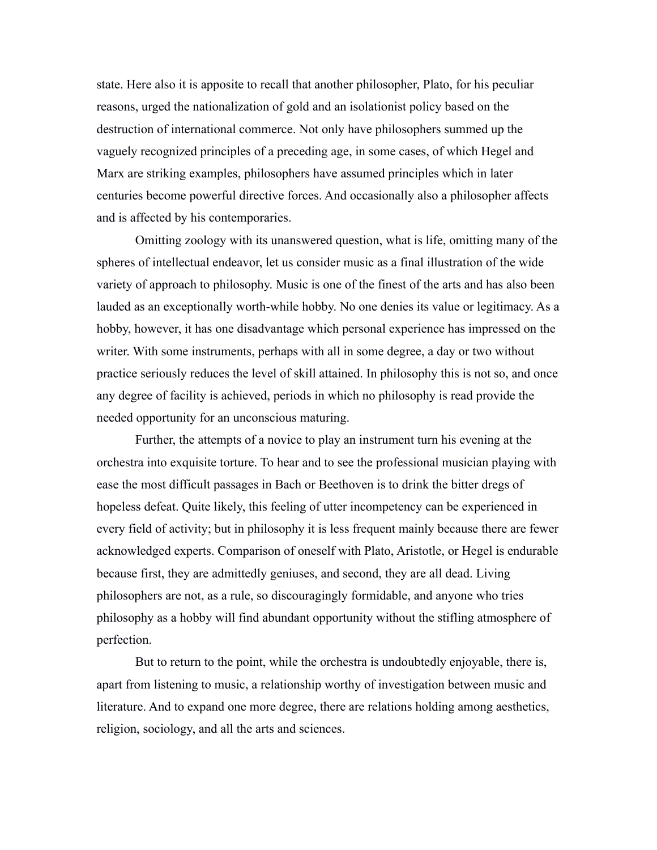state. Here also it is apposite to recall that another philosopher, Plato, for his peculiar reasons, urged the nationalization of gold and an isolationist policy based on the destruction of international commerce. Not only have philosophers summed up the vaguely recognized principles of a preceding age, in some cases, of which Hegel and Marx are striking examples, philosophers have assumed principles which in later centuries become powerful directive forces. And occasionally also a philosopher affects and is affected by his contemporaries.

Omitting zoology with its unanswered question, what is life, omitting many of the spheres of intellectual endeavor, let us consider music as a final illustration of the wide variety of approach to philosophy. Music is one of the finest of the arts and has also been lauded as an exceptionally worth-while hobby. No one denies its value or legitimacy. As a hobby, however, it has one disadvantage which personal experience has impressed on the writer. With some instruments, perhaps with all in some degree, a day or two without practice seriously reduces the level of skill attained. In philosophy this is not so, and once any degree of facility is achieved, periods in which no philosophy is read provide the needed opportunity for an unconscious maturing.

Further, the attempts of a novice to play an instrument turn his evening at the orchestra into exquisite torture. To hear and to see the professional musician playing with ease the most difficult passages in Bach or Beethoven is to drink the bitter dregs of hopeless defeat. Quite likely, this feeling of utter incompetency can be experienced in every field of activity; but in philosophy it is less frequent mainly because there are fewer acknowledged experts. Comparison of oneself with Plato, Aristotle, or Hegel is endurable because first, they are admittedly geniuses, and second, they are all dead. Living philosophers are not, as a rule, so discouragingly formidable, and anyone who tries philosophy as a hobby will find abundant opportunity without the stifling atmosphere of perfection.

But to return to the point, while the orchestra is undoubtedly enjoyable, there is, apart from listening to music, a relationship worthy of investigation between music and literature. And to expand one more degree, there are relations holding among aesthetics, religion, sociology, and all the arts and sciences.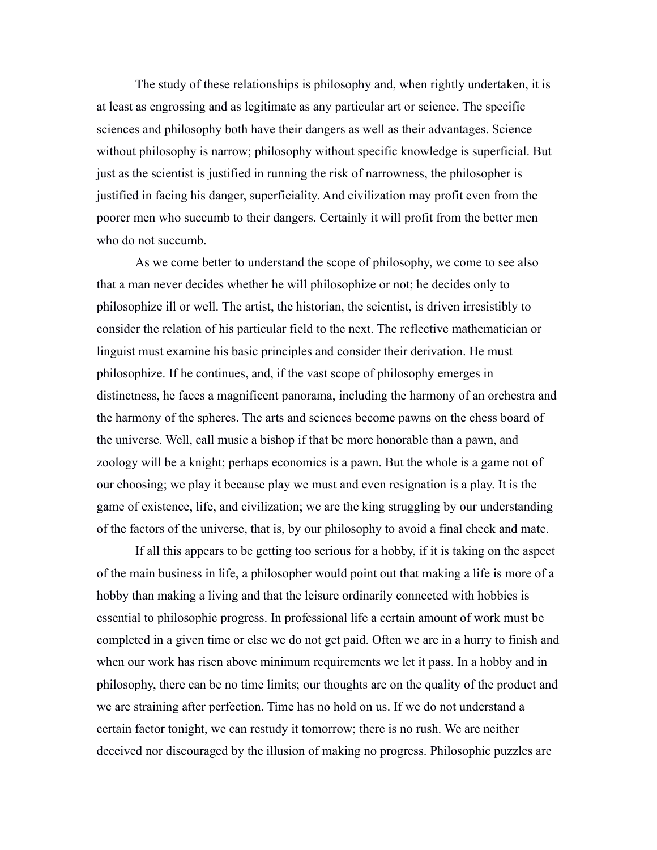The study of these relationships is philosophy and, when rightly undertaken, it is at least as engrossing and as legitimate as any particular art or science. The specific sciences and philosophy both have their dangers as well as their advantages. Science without philosophy is narrow; philosophy without specific knowledge is superficial. But just as the scientist is justified in running the risk of narrowness, the philosopher is justified in facing his danger, superficiality. And civilization may profit even from the poorer men who succumb to their dangers. Certainly it will profit from the better men who do not succumb.

As we come better to understand the scope of philosophy, we come to see also that a man never decides whether he will philosophize or not; he decides only to philosophize ill or well. The artist, the historian, the scientist, is driven irresistibly to consider the relation of his particular field to the next. The reflective mathematician or linguist must examine his basic principles and consider their derivation. He must philosophize. If he continues, and, if the vast scope of philosophy emerges in distinctness, he faces a magnificent panorama, including the harmony of an orchestra and the harmony of the spheres. The arts and sciences become pawns on the chess board of the universe. Well, call music a bishop if that be more honorable than a pawn, and zoology will be a knight; perhaps economics is a pawn. But the whole is a game not of our choosing; we play it because play we must and even resignation is a play. It is the game of existence, life, and civilization; we are the king struggling by our understanding of the factors of the universe, that is, by our philosophy to avoid a final check and mate.

If all this appears to be getting too serious for a hobby, if it is taking on the aspect of the main business in life, a philosopher would point out that making a life is more of a hobby than making a living and that the leisure ordinarily connected with hobbies is essential to philosophic progress. In professional life a certain amount of work must be completed in a given time or else we do not get paid. Often we are in a hurry to finish and when our work has risen above minimum requirements we let it pass. In a hobby and in philosophy, there can be no time limits; our thoughts are on the quality of the product and we are straining after perfection. Time has no hold on us. If we do not understand a certain factor tonight, we can restudy it tomorrow; there is no rush. We are neither deceived nor discouraged by the illusion of making no progress. Philosophic puzzles are